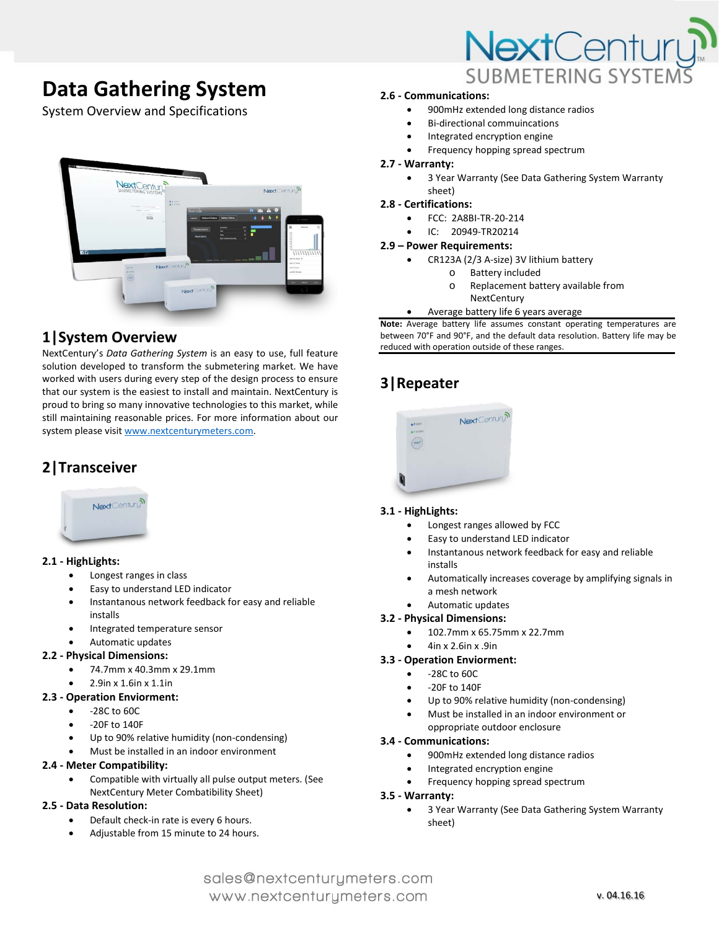# **Data Gathering System**

System Overview and Specifications



# **1|System Overview**

NextCentury's *Data Gathering System* is an easy to use, full feature solution developed to transform the submetering market. We have worked with users during every step of the design process to ensure that our system is the easiest to install and maintain. NextCentury is proud to bring so many innovative technologies to this market, while still maintaining reasonable prices. For more information about our system please visi[t www.nextcenturymeters.com.](http://www.nextcenturymeters.com/)

# **2|Transceiver**



# **2.1 - HighLights:**

- Longest ranges in class
- Easy to understand LED indicator
- Instantanous network feedback for easy and reliable installs
- Integrated temperature sensor

# • Automatic updates

# **2.2 - Physical Dimensions:**

- 74.7mm x 40.3mm x 29.1mm
- 2.9in x 1.6in x 1.1in

# **2.3 - Operation Enviorment:**

- -28C to 60C
- -20F to 140F
- Up to 90% relative humidity (non-condensing)
- Must be installed in an indoor environment

# **2.4 - Meter Compatibility:**

- Compatible with virtually all pulse output meters. (See
- NextCentury Meter Combatibility Sheet)

# **2.5 - Data Resolution:**

- Default check-in rate is every 6 hours.
- Adjustable from 15 minute to 24 hours.



# **2.6 - Communications:**

- 900mHz extended long distance radios
- Bi-directional commuincations
- Integrated encryption engine
- Frequency hopping spread spectrum

#### **2.7 - Warranty:**

• 3 Year Warranty (See Data Gathering System Warranty sheet)

#### **2.8 - Certifications:**

- FCC: 2A8BI-TR-20-214
- IC: 20949-TR20214

#### **2.9 – Power Requirements:**

- CR123A (2/3 A-size) 3V lithium battery
	- o Battery included<br>
	o Replacement bat
	- Replacement battery available from **NextCentury**
- Average battery life 6 years average

**Note:** Average battery life assumes constant operating temperatures are between 70°F and 90°F, and the default data resolution. Battery life may be reduced with operation outside of these ranges.

# **3|Repeater**



# **3.1 - HighLights:**

- Longest ranges allowed by FCC
- Easy to understand LED indicator
- Instantanous network feedback for easy and reliable installs
- Automatically increases coverage by amplifying signals in a mesh network
- Automatic updates

# **3.2 - Physical Dimensions:**

- 102.7mm x 65.75mm x 22.7mm
- 4in x 2.6in x .9in

#### **3.3 - Operation Enviorment:**

- -28C to 60C
- -20F to 140F
- Up to 90% relative humidity (non-condensing)
- Must be installed in an indoor environment or oppropriate outdoor enclosure

# **3.4 - Communications:**

- 900mHz extended long distance radios
- Integrated encryption engine
- Frequency hopping spread spectrum

#### **3.5 - Warranty:**

• 3 Year Warranty (See Data Gathering System Warranty sheet)

# sales@nextcenturymeters.com www.nextcenturymeters.com